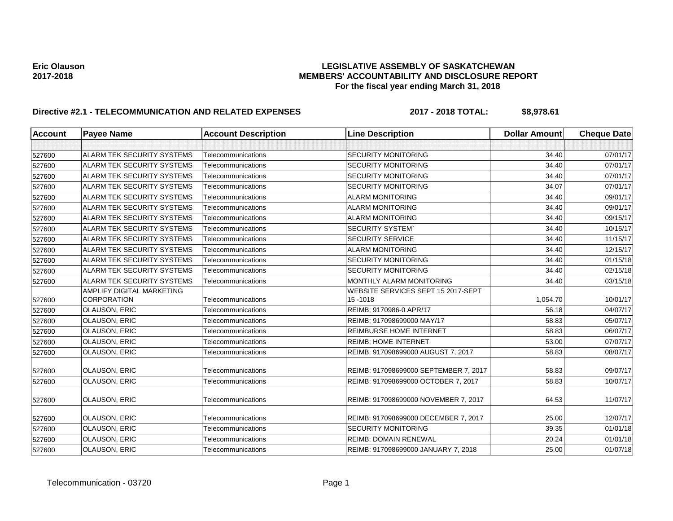# Eric Olauson<br>LEGISLATIVE ASSEMBLY OF SASKATCHEWAN<br>MEMBERS' ACCOUNTABILITY AND DISCLOSURE REF **2017-2018 MEMBERS' ACCOUNTABILITY AND DISCLOSURE REPORT For the fiscal year ending March 31, 2018**

# **Directive #2.1 - TELECOMMUNICATION AND RELATED EXPENSES 2017 - 2018 TOTAL: \$8,978.61**

| <b>Account</b> | <b>Payee Name</b>                 | <b>Account Description</b> | <b>Line Description</b>               | <b>Dollar Amount</b> | <b>Cheque Date</b> |
|----------------|-----------------------------------|----------------------------|---------------------------------------|----------------------|--------------------|
|                |                                   |                            |                                       |                      |                    |
| 527600         | <b>ALARM TEK SECURITY SYSTEMS</b> | Telecommunications         | <b>SECURITY MONITORING</b>            | 34.40                | 07/01/17           |
| 527600         | <b>ALARM TEK SECURITY SYSTEMS</b> | Telecommunications         | <b>SECURITY MONITORING</b>            | 34.40                | 07/01/17           |
| 527600         | <b>ALARM TEK SECURITY SYSTEMS</b> | Telecommunications         | <b>SECURITY MONITORING</b>            | 34.40                | 07/01/17           |
| 527600         | <b>ALARM TEK SECURITY SYSTEMS</b> | Telecommunications         | <b>SECURITY MONITORING</b>            | 34.07                | 07/01/17           |
| 527600         | ALARM TEK SECURITY SYSTEMS        | Telecommunications         | <b>ALARM MONITORING</b>               | 34.40                | 09/01/17           |
| 527600         | <b>ALARM TEK SECURITY SYSTEMS</b> | Telecommunications         | <b>ALARM MONITORING</b>               | 34.40                | 09/01/17           |
| 527600         | ALARM TEK SECURITY SYSTEMS        | Telecommunications         | <b>ALARM MONITORING</b>               | 34.40                | 09/15/17           |
| 527600         | <b>ALARM TEK SECURITY SYSTEMS</b> | Telecommunications         | <b>SECURITY SYSTEM</b>                | 34.40                | 10/15/17           |
| 527600         | <b>ALARM TEK SECURITY SYSTEMS</b> | Telecommunications         | <b>SECURITY SERVICE</b>               | 34.40                | 11/15/17           |
| 527600         | <b>ALARM TEK SECURITY SYSTEMS</b> | Telecommunications         | <b>ALARM MONITORING</b>               | 34.40                | 12/15/17           |
| 527600         | <b>ALARM TEK SECURITY SYSTEMS</b> | Telecommunications         | <b>SECURITY MONITORING</b>            | 34.40                | 01/15/18           |
| 527600         | <b>ALARM TEK SECURITY SYSTEMS</b> | Telecommunications         | <b>SECURITY MONITORING</b>            | 34.40                | 02/15/18           |
| 527600         | <b>ALARM TEK SECURITY SYSTEMS</b> | Telecommunications         | MONTHLY ALARM MONITORING              | 34.40                | 03/15/18           |
|                | AMPLIFY DIGITAL MARKETING         |                            | WEBSITE SERVICES SEPT 15 2017-SEPT    |                      |                    |
| 527600         | <b>CORPORATION</b>                | Telecommunications         | 15 - 1018                             | 1,054.70             | 10/01/17           |
| 527600         | <b>OLAUSON, ERIC</b>              | Telecommunications         | REIMB; 9170986-0 APR/17               | 56.18                | 04/07/17           |
| 527600         | <b>OLAUSON, ERIC</b>              | Telecommunications         | REIMB; 917098699000 MAY/17            | 58.83                | 05/07/17           |
| 527600         | OLAUSON, ERIC                     | Telecommunications         | <b>REIMBURSE HOME INTERNET</b>        | 58.83                | 06/07/17           |
| 527600         | OLAUSON, ERIC                     | Telecommunications         | <b>REIMB: HOME INTERNET</b>           | 53.00                | 07/07/17           |
| 527600         | <b>OLAUSON, ERIC</b>              | Telecommunications         | REIMB: 917098699000 AUGUST 7, 2017    | 58.83                | 08/07/17           |
|                |                                   |                            |                                       |                      |                    |
| 527600         | <b>OLAUSON, ERIC</b>              | Telecommunications         | REIMB: 917098699000 SEPTEMBER 7, 2017 | 58.83                | 09/07/17           |
| 527600         | <b>OLAUSON, ERIC</b>              | Telecommunications         | REIMB: 917098699000 OCTOBER 7, 2017   | 58.83                | 10/07/17           |
| 527600         | <b>OLAUSON, ERIC</b>              | Telecommunications         | REIMB: 917098699000 NOVEMBER 7, 2017  | 64.53                | 11/07/17           |
| 527600         | OLAUSON, ERIC                     | Telecommunications         | REIMB: 917098699000 DECEMBER 7, 2017  | 25.00                | 12/07/17           |
| 527600         | OLAUSON, ERIC                     | Telecommunications         | <b>SECURITY MONITORING</b>            | 39.35                | 01/01/18           |
| 527600         | <b>OLAUSON, ERIC</b>              | Telecommunications         | <b>REIMB: DOMAIN RENEWAL</b>          | 20.24                | 01/01/18           |
| 527600         | OLAUSON, ERIC                     | Telecommunications         | REIMB: 917098699000 JANUARY 7, 2018   | 25.00                | 01/07/18           |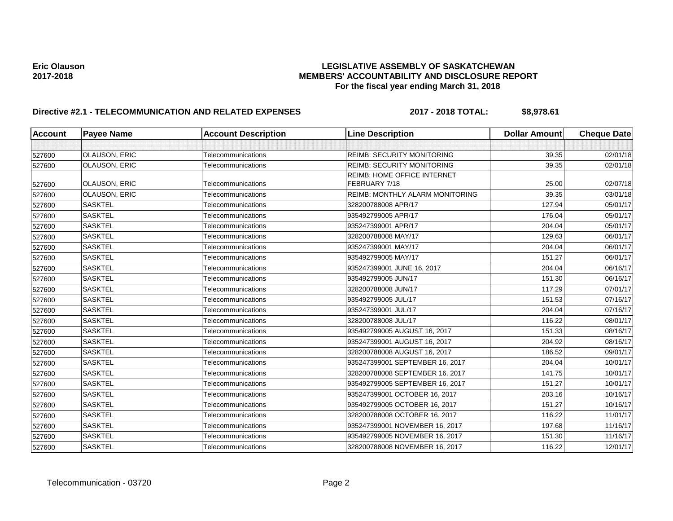# Eric Olauson<br>LEGISLATIVE ASSEMBLY OF SASKATCHEWAN<br>MEMBERS' ACCOUNTABILITY AND DISCLOSURE REF **2017-2018 MEMBERS' ACCOUNTABILITY AND DISCLOSURE REPORT For the fiscal year ending March 31, 2018**

# **Directive #2.1 - TELECOMMUNICATION AND RELATED EXPENSES 2017 - 2018 TOTAL: \$8,978.61**

| <b>Account</b> | <b>Payee Name</b>    | <b>Account Description</b> | <b>Line Description</b>                | <b>Dollar Amount</b> | <b>Cheque Date</b> |
|----------------|----------------------|----------------------------|----------------------------------------|----------------------|--------------------|
|                |                      |                            |                                        |                      |                    |
| 527600         | OLAUSON, ERIC        | Telecommunications         | <b>REIMB: SECURITY MONITORING</b>      | 39.35                | 02/01/18           |
| 527600         | <b>OLAUSON, ERIC</b> | Telecommunications         | <b>REIMB: SECURITY MONITORING</b>      | 39.35                | 02/01/18           |
|                |                      |                            | <b>REIMB: HOME OFFICE INTERNET</b>     |                      |                    |
| 527600         | <b>OLAUSON, ERIC</b> | Telecommunications         | FEBRUARY 7/18                          | 25.00                | 02/07/18           |
| 527600         | <b>OLAUSON, ERIC</b> | Telecommunications         | <b>REIMB: MONTHLY ALARM MONITORING</b> | 39.35                | 03/01/18           |
| 527600         | <b>SASKTEL</b>       | Telecommunications         | 328200788008 APR/17                    | 127.94               | 05/01/17           |
| 527600         | <b>SASKTEL</b>       | Telecommunications         | 935492799005 APR/17                    | 176.04               | 05/01/17           |
| 527600         | <b>SASKTEL</b>       | Telecommunications         | 935247399001 APR/17                    | 204.04               | 05/01/17           |
| 527600         | <b>SASKTEL</b>       | Telecommunications         | 328200788008 MAY/17                    | 129.63               | 06/01/17           |
| 527600         | <b>SASKTEL</b>       | Telecommunications         | 935247399001 MAY/17                    | 204.04               | 06/01/17           |
| 527600         | <b>SASKTEL</b>       | Telecommunications         | 935492799005 MAY/17                    | 151.27               | 06/01/17           |
| 527600         | <b>SASKTEL</b>       | Telecommunications         | 935247399001 JUNE 16, 2017             | 204.04               | 06/16/17           |
| 527600         | <b>SASKTEL</b>       | Telecommunications         | 935492799005 JUN/17                    | 151.30               | 06/16/17           |
| 527600         | <b>SASKTEL</b>       | Telecommunications         | 328200788008 JUN/17                    | 117.29               | 07/01/17           |
| 527600         | <b>SASKTEL</b>       | Telecommunications         | 935492799005 JUL/17                    | 151.53               | 07/16/17           |
| 527600         | <b>SASKTEL</b>       | Telecommunications         | 935247399001 JUL/17                    | 204.04               | 07/16/17           |
| 527600         | <b>SASKTEL</b>       | Telecommunications         | 328200788008 JUL/17                    | 116.22               | 08/01/17           |
| 527600         | <b>SASKTEL</b>       | Telecommunications         | 935492799005 AUGUST 16, 2017           | 151.33               | 08/16/17           |
| 527600         | <b>SASKTEL</b>       | Telecommunications         | 935247399001 AUGUST 16, 2017           | 204.92               | 08/16/17           |
| 527600         | <b>SASKTEL</b>       | Telecommunications         | 328200788008 AUGUST 16, 2017           | 186.52               | 09/01/17           |
| 527600         | <b>SASKTEL</b>       | Telecommunications         | 935247399001 SEPTEMBER 16, 2017        | 204.04               | 10/01/17           |
| 527600         | <b>SASKTEL</b>       | Telecommunications         | 328200788008 SEPTEMBER 16, 2017        | 141.75               | 10/01/17           |
| 527600         | <b>SASKTEL</b>       | Telecommunications         | 935492799005 SEPTEMBER 16, 2017        | 151.27               | 10/01/17           |
| 527600         | <b>SASKTEL</b>       | Telecommunications         | 935247399001 OCTOBER 16, 2017          | 203.16               | 10/16/17           |
| 527600         | <b>SASKTEL</b>       | Telecommunications         | 935492799005 OCTOBER 16, 2017          | 151.27               | 10/16/17           |
| 527600         | <b>SASKTEL</b>       | Telecommunications         | 328200788008 OCTOBER 16, 2017          | 116.22               | 11/01/17           |
| 527600         | <b>SASKTEL</b>       | Telecommunications         | 935247399001 NOVEMBER 16, 2017         | 197.68               | 11/16/17           |
| 527600         | <b>SASKTEL</b>       | Telecommunications         | 935492799005 NOVEMBER 16, 2017         | 151.30               | 11/16/17           |
| 527600         | <b>SASKTEL</b>       | Telecommunications         | 328200788008 NOVEMBER 16, 2017         | 116.22               | 12/01/17           |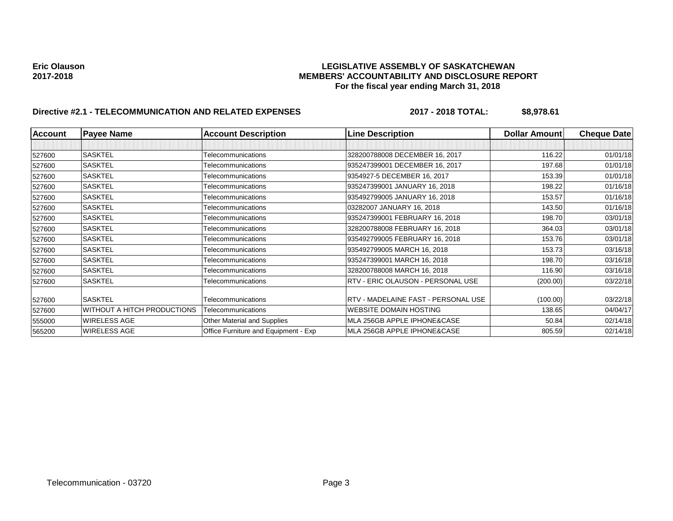# Eric Olauson<br>LEGISLATIVE ASSEMBLY OF SASKATCHEWAN<br>MEMBERS' ACCOUNTABILITY AND DISCLOSURE REF **2017-2018 MEMBERS' ACCOUNTABILITY AND DISCLOSURE REPORT For the fiscal year ending March 31, 2018**

# **Directive #2.1 - TELECOMMUNICATION AND RELATED EXPENSES 2017 - 2018 TOTAL: \$8,978.61**

| Account | <b>Payee Name</b>                  | <b>Account Description</b>           | <b>Line Description</b>                  | <b>Dollar Amountl</b> | <b>Cheque Date</b> |
|---------|------------------------------------|--------------------------------------|------------------------------------------|-----------------------|--------------------|
|         |                                    |                                      |                                          |                       |                    |
| 527600  | <b>SASKTEL</b>                     | Telecommunications                   | 328200788008 DECEMBER 16, 2017           | 116.22                | 01/01/18           |
| 527600  | <b>SASKTEL</b>                     | Telecommunications                   | 935247399001 DECEMBER 16, 2017           | 197.68                | 01/01/18           |
| 527600  | <b>SASKTEL</b>                     | Telecommunications                   | 9354927-5 DECEMBER 16, 2017              | 153.39                | 01/01/18           |
| 527600  | <b>SASKTEL</b>                     | Telecommunications                   | 935247399001 JANUARY 16, 2018            | 198.22                | 01/16/18           |
| 527600  | <b>SASKTEL</b>                     | Telecommunications                   | 935492799005 JANUARY 16, 2018            | 153.57                | 01/16/18           |
| 527600  | <b>SASKTEL</b>                     | Telecommunications                   | 03282007 JANUARY 16, 2018                | 143.50                | 01/16/18           |
| 527600  | <b>SASKTEL</b>                     | Telecommunications                   | 935247399001 FEBRUARY 16, 2018           | 198.70                | 03/01/18           |
| 527600  | <b>SASKTEL</b>                     | Telecommunications                   | 328200788008 FEBRUARY 16, 2018           | 364.03                | 03/01/18           |
| 527600  | <b>SASKTEL</b>                     | Telecommunications                   | 935492799005 FEBRUARY 16, 2018           | 153.76                | 03/01/18           |
| 527600  | <b>SASKTEL</b>                     | Telecommunications                   | 935492799005 MARCH 16, 2018              | 153.73                | 03/16/18           |
| 527600  | <b>SASKTEL</b>                     | Telecommunications                   | 935247399001 MARCH 16, 2018              | 198.70                | 03/16/18           |
| 527600  | <b>SASKTEL</b>                     | Telecommunications                   | 328200788008 MARCH 16, 2018              | 116.90                | 03/16/18           |
| 527600  | SASKTEL                            | Telecommunications                   | <b>RTV - ERIC OLAUSON - PERSONAL USE</b> | (200.00)              | 03/22/18           |
| 527600  | <b>SASKTEL</b>                     | Telecommunications                   | RTV - MADELAINE FAST - PERSONAL USE      | (100.00)              | 03/22/18           |
| 527600  | <b>WITHOUT A HITCH PRODUCTIONS</b> | Telecommunications                   | <b>WEBSITE DOMAIN HOSTING</b>            | 138.65                | 04/04/17           |
| 555000  | <b>WIRELESS AGE</b>                | Other Material and Supplies          | MLA 256GB APPLE IPHONE&CASE              | 50.84                 | 02/14/18           |
| 565200  | <b>WIRELESS AGE</b>                | Office Furniture and Equipment - Exp | MLA 256GB APPLE IPHONE&CASE              | 805.59                | 02/14/18           |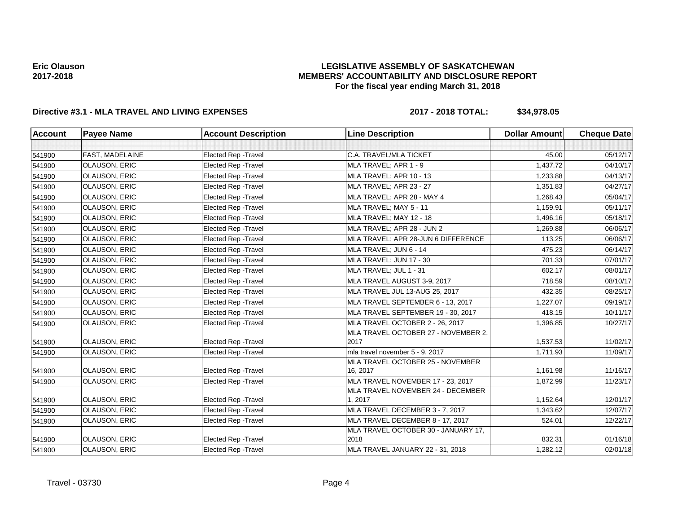# **LEGISLATIVE ASSEMBLY OF SASKATCHEWAN MEMBERS' ACCOUNTABILITY AND DISCLOSURE REPORT For the fiscal year ending March 31, 2018**

# **Directive #3.1 - MLA TRAVEL AND LIVING EXPENSES 2017 - 2018 TOTAL: \$34,978.05**

| <b>Account</b> | <b>Payee Name</b>      | <b>Account Description</b>  | <b>Line Description</b>                      | <b>Dollar Amount</b> | <b>Cheque Date</b> |
|----------------|------------------------|-----------------------------|----------------------------------------------|----------------------|--------------------|
|                |                        |                             |                                              |                      |                    |
| 541900         | <b>FAST, MADELAINE</b> | Elected Rep - Travel        | C.A. TRAVEL/MLA TICKET                       | 45.00                | 05/12/17           |
| 541900         | <b>OLAUSON, ERIC</b>   | <b>Elected Rep - Travel</b> | MLA TRAVEL; APR 1 - 9                        | 1,437.72             | 04/10/17           |
| 541900         | <b>OLAUSON, ERIC</b>   | <b>Elected Rep - Travel</b> | MLA TRAVEL; APR 10 - 13                      | 1,233.88             | 04/13/17           |
| 541900         | OLAUSON, ERIC          | <b>Elected Rep - Travel</b> | MLA TRAVEL; APR 23 - 27                      | 1,351.83             | 04/27/17           |
| 541900         | <b>OLAUSON, ERIC</b>   | <b>Elected Rep - Travel</b> | MLA TRAVEL; APR 28 - MAY 4                   | 1,268.43             | 05/04/17           |
| 541900         | <b>OLAUSON, ERIC</b>   | <b>Elected Rep - Travel</b> | MLA TRAVEL; MAY 5 - 11                       | 1.159.91             | 05/11/17           |
| 541900         | <b>OLAUSON, ERIC</b>   | <b>Elected Rep - Travel</b> | MLA TRAVEL; MAY 12 - 18                      | 1,496.16             | 05/18/17           |
| 541900         | <b>OLAUSON, ERIC</b>   | <b>Elected Rep - Travel</b> | MLA TRAVEL; APR 28 - JUN 2                   | 1,269.88             | 06/06/17           |
| 541900         | OLAUSON, ERIC          | <b>Elected Rep - Travel</b> | MLA TRAVEL; APR 28-JUN 6 DIFFERENCE          | 113.25               | 06/06/17           |
| 541900         | <b>OLAUSON, ERIC</b>   | <b>Elected Rep - Travel</b> | MLA TRAVEL; JUN 6 - 14                       | 475.23               | 06/14/17           |
| 541900         | <b>OLAUSON, ERIC</b>   | <b>Elected Rep - Travel</b> | MLA TRAVEL; JUN 17 - 30                      | 701.33               | 07/01/17           |
| 541900         | OLAUSON, ERIC          | Elected Rep - Travel        | MLA TRAVEL; JUL 1 - 31                       | 602.17               | 08/01/17           |
| 541900         | <b>OLAUSON, ERIC</b>   | <b>Elected Rep - Travel</b> | MLA TRAVEL AUGUST 3-9, 2017                  | 718.59               | 08/10/17           |
| 541900         | <b>OLAUSON, ERIC</b>   | <b>Elected Rep - Travel</b> | MLA TRAVEL JUL 13-AUG 25, 2017               | 432.35               | 08/25/17           |
| 541900         | <b>OLAUSON, ERIC</b>   | Elected Rep - Travel        | MLA TRAVEL SEPTEMBER 6 - 13, 2017            | 1,227.07             | 09/19/17           |
| 541900         | <b>OLAUSON, ERIC</b>   | Elected Rep - Travel        | MLA TRAVEL SEPTEMBER 19 - 30, 2017           | 418.15               | 10/11/17           |
| 541900         | OLAUSON, ERIC          | Elected Rep - Travel        | MLA TRAVEL OCTOBER 2 - 26, 2017              | 1,396.85             | 10/27/17           |
| 541900         | <b>OLAUSON, ERIC</b>   | <b>Elected Rep - Travel</b> | MLA TRAVEL OCTOBER 27 - NOVEMBER 2,<br>2017  | 1,537.53             | 11/02/17           |
| 541900         | <b>OLAUSON, ERIC</b>   | Elected Rep - Travel        | mla travel november 5 - 9, 2017              | 1,711.93             | 11/09/17           |
| 541900         | <b>OLAUSON, ERIC</b>   | <b>Elected Rep - Travel</b> | MLA TRAVEL OCTOBER 25 - NOVEMBER<br>16, 2017 | 1,161.98             | 11/16/17           |
| 541900         | OLAUSON, ERIC          | Elected Rep - Travel        | MLA TRAVEL NOVEMBER 17 - 23, 2017            | 1,872.99             | 11/23/17           |
| 541900         | <b>OLAUSON, ERIC</b>   | <b>Elected Rep - Travel</b> | MLA TRAVEL NOVEMBER 24 - DECEMBER<br>1, 2017 | 1,152.64             | 12/01/17           |
| 541900         | <b>OLAUSON, ERIC</b>   | <b>Elected Rep - Travel</b> | MLA TRAVEL DECEMBER 3 - 7, 2017              | 1,343.62             | 12/07/17           |
| 541900         | OLAUSON, ERIC          | Elected Rep - Travel        | MLA TRAVEL DECEMBER 8 - 17, 2017             | 524.01               | 12/22/17           |
| 541900         | <b>OLAUSON, ERIC</b>   | <b>Elected Rep - Travel</b> | MLA TRAVEL OCTOBER 30 - JANUARY 17,<br>2018  | 832.31               | 01/16/18           |
| 541900         | <b>OLAUSON, ERIC</b>   | Elected Rep - Travel        | MLA TRAVEL JANUARY 22 - 31, 2018             | 1,282.12             | 02/01/18           |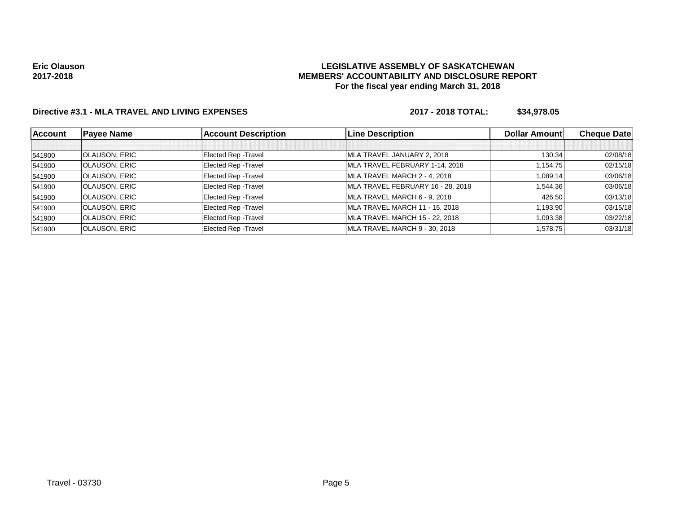## **LEGISLATIVE ASSEMBLY OF SASKATCHEWAN MEMBERS' ACCOUNTABILITY AND DISCLOSURE REPORT For the fiscal year ending March 31, 2018**

# **Directive #3.1 - MLA TRAVEL AND LIVING EXPENSES 2017 - 2018 TOTAL: \$34,978.05**

| <b>Account</b> | <b>Payee Name</b>    | <b>Account Description</b> | <b>Line Description</b>           | <b>Dollar Amountl</b> | <b>Cheque Datel</b> |
|----------------|----------------------|----------------------------|-----------------------------------|-----------------------|---------------------|
|                |                      |                            |                                   |                       |                     |
| 541900         | <b>OLAUSON, ERIC</b> | Elected Rep - Travel       | MLA TRAVEL JANUARY 2, 2018        | 130.34                | 02/08/18            |
| 541900         | <b>OLAUSON, ERIC</b> | Elected Rep - Travel       | MLA TRAVEL FEBRUARY 1-14, 2018    | 1,154.75              | 02/15/18            |
| 541900         | <b>OLAUSON, ERIC</b> | Elected Rep - Travel       | MLA TRAVEL MARCH 2 - 4, 2018      | 1,089.14              | 03/06/18            |
| 541900         | <b>OLAUSON, ERIC</b> | Elected Rep - Travel       | MLA TRAVEL FEBRUARY 16 - 28, 2018 | 1,544.36              | 03/06/18            |
| 541900         | <b>OLAUSON, ERIC</b> | Elected Rep - Travel       | MLA TRAVEL MARCH 6 - 9, 2018      | 426.50                | 03/13/18            |
| 541900         | <b>OLAUSON, ERIC</b> | Elected Rep - Travel       | MLA TRAVEL MARCH 11 - 15, 2018    | 1,193.90              | 03/15/18            |
| 541900         | <b>OLAUSON, ERIC</b> | Elected Rep - Travel       | MLA TRAVEL MARCH 15 - 22, 2018    | 1,093.38              | 03/22/18            |
| 541900         | <b>OLAUSON, ERIC</b> | Elected Rep - Travel       | MLA TRAVEL MARCH 9 - 30, 2018     | 1,578.75              | 03/31/18            |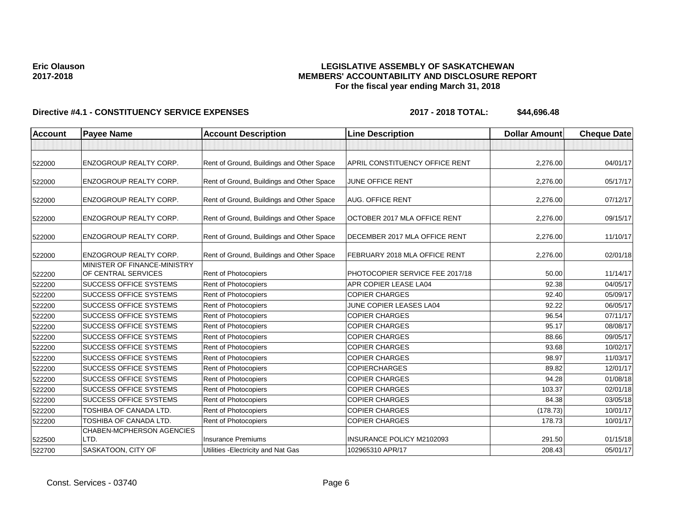# **LEGISLATIVE ASSEMBLY OF SASKATCHEWAN MEMBERS' ACCOUNTABILITY AND DISCLOSURE REPORT For the fiscal year ending March 31, 2018**

| Account | <b>Payee Name</b>                                   | <b>Account Description</b>                | <b>Line Description</b>         | <b>Dollar Amount</b> | <b>Cheque Date</b> |
|---------|-----------------------------------------------------|-------------------------------------------|---------------------------------|----------------------|--------------------|
|         |                                                     |                                           |                                 |                      |                    |
| 522000  | <b>ENZOGROUP REALTY CORP.</b>                       | Rent of Ground, Buildings and Other Space | APRIL CONSTITUENCY OFFICE RENT  | 2,276.00             | 04/01/17           |
| 522000  | <b>ENZOGROUP REALTY CORP.</b>                       | Rent of Ground, Buildings and Other Space | JUNE OFFICE RENT                | 2,276.00             | 05/17/17           |
| 522000  | <b>ENZOGROUP REALTY CORP.</b>                       | Rent of Ground, Buildings and Other Space | <b>AUG. OFFICE RENT</b>         | 2,276.00             | 07/12/17           |
| 522000  | <b>ENZOGROUP REALTY CORP.</b>                       | Rent of Ground, Buildings and Other Space | OCTOBER 2017 MLA OFFICE RENT    | 2,276.00             | 09/15/17           |
| 522000  | <b>ENZOGROUP REALTY CORP.</b>                       | Rent of Ground, Buildings and Other Space | DECEMBER 2017 MLA OFFICE RENT   | 2,276.00             | 11/10/17           |
| 522000  | <b>ENZOGROUP REALTY CORP.</b>                       | Rent of Ground, Buildings and Other Space | FEBRUARY 2018 MLA OFFICE RENT   | 2,276.00             | 02/01/18           |
| 522200  | MINISTER OF FINANCE-MINISTRY<br>OF CENTRAL SERVICES | Rent of Photocopiers                      | PHOTOCOPIER SERVICE FEE 2017/18 | 50.00                | 11/14/17           |
| 522200  | <b>SUCCESS OFFICE SYSTEMS</b>                       | Rent of Photocopiers                      | APR COPIER LEASE LA04           | 92.38                | 04/05/17           |
| 522200  | <b>SUCCESS OFFICE SYSTEMS</b>                       | Rent of Photocopiers                      | <b>COPIER CHARGES</b>           | 92.40                | 05/09/17           |
| 522200  | <b>SUCCESS OFFICE SYSTEMS</b>                       | Rent of Photocopiers                      | JUNE COPIER LEASES LA04         | 92.22                | 06/05/17           |
| 522200  | <b>SUCCESS OFFICE SYSTEMS</b>                       | Rent of Photocopiers                      | <b>COPIER CHARGES</b>           | 96.54                | 07/11/17           |
| 522200  | SUCCESS OFFICE SYSTEMS                              | Rent of Photocopiers                      | <b>COPIER CHARGES</b>           | 95.17                | 08/08/17           |
| 522200  | <b>SUCCESS OFFICE SYSTEMS</b>                       | Rent of Photocopiers                      | <b>COPIER CHARGES</b>           | 88.66                | 09/05/17           |
| 522200  | <b>SUCCESS OFFICE SYSTEMS</b>                       | Rent of Photocopiers                      | <b>COPIER CHARGES</b>           | 93.68                | 10/02/17           |
| 522200  | <b>SUCCESS OFFICE SYSTEMS</b>                       | Rent of Photocopiers                      | <b>COPIER CHARGES</b>           | 98.97                | 11/03/17           |
| 522200  | <b>SUCCESS OFFICE SYSTEMS</b>                       | Rent of Photocopiers                      | <b>COPIERCHARGES</b>            | 89.82                | 12/01/17           |
| 522200  | <b>SUCCESS OFFICE SYSTEMS</b>                       | Rent of Photocopiers                      | <b>COPIER CHARGES</b>           | 94.28                | 01/08/18           |
| 522200  | <b>SUCCESS OFFICE SYSTEMS</b>                       | Rent of Photocopiers                      | <b>COPIER CHARGES</b>           | 103.37               | 02/01/18           |
| 522200  | <b>SUCCESS OFFICE SYSTEMS</b>                       | Rent of Photocopiers                      | <b>COPIER CHARGES</b>           | 84.38                | 03/05/18           |
| 522200  | TOSHIBA OF CANADA LTD.                              | Rent of Photocopiers                      | <b>COPIER CHARGES</b>           | (178.73)             | 10/01/17           |
| 522200  | <b>TOSHIBA OF CANADA LTD.</b>                       | Rent of Photocopiers                      | <b>COPIER CHARGES</b>           | 178.73               | 10/01/17           |
| 522500  | <b>CHABEN-MCPHERSON AGENCIES</b><br>LTD.            | <b>Insurance Premiums</b>                 | INSURANCE POLICY M2102093       | 291.50               | 01/15/18           |
| 522700  | SASKATOON, CITY OF                                  | Utilities - Electricity and Nat Gas       | 102965310 APR/17                | 208.43               | 05/01/17           |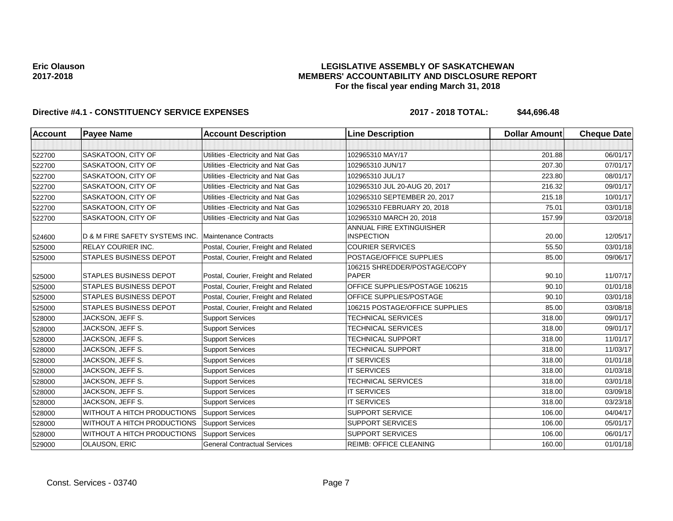# **LEGISLATIVE ASSEMBLY OF SASKATCHEWAN MEMBERS' ACCOUNTABILITY AND DISCLOSURE REPORT For the fiscal year ending March 31, 2018**

| <b>Account</b> | <b>Payee Name</b>              | <b>Account Description</b>           | <b>Line Description</b>                              | <b>Dollar Amount</b> | <b>Cheque Date</b> |
|----------------|--------------------------------|--------------------------------------|------------------------------------------------------|----------------------|--------------------|
|                |                                |                                      |                                                      |                      |                    |
| 522700         | SASKATOON, CITY OF             | Utilities - Electricity and Nat Gas  | 102965310 MAY/17                                     | 201.88               | 06/01/17           |
| 522700         | SASKATOON, CITY OF             | Utilities - Electricity and Nat Gas  | 102965310 JUN/17                                     | 207.30               | 07/01/17           |
| 522700         | SASKATOON, CITY OF             | Utilities - Electricity and Nat Gas  | 102965310 JUL/17                                     | 223.80               | 08/01/17           |
| 522700         | SASKATOON, CITY OF             | Utilities - Electricity and Nat Gas  | 102965310 JUL 20-AUG 20, 2017                        | 216.32               | 09/01/17           |
| 522700         | SASKATOON, CITY OF             | Utilities - Electricity and Nat Gas  | 102965310 SEPTEMBER 20, 2017                         | 215.18               | 10/01/17           |
| 522700         | SASKATOON, CITY OF             | Utilities - Electricity and Nat Gas  | 102965310 FEBRUARY 20, 2018                          | 75.01                | 03/01/18           |
| 522700         | SASKATOON, CITY OF             | Utilities - Electricity and Nat Gas  | 102965310 MARCH 20, 2018                             | 157.99               | 03/20/18           |
| 524600         | D & M FIRE SAFETY SYSTEMS INC. | <b>Maintenance Contracts</b>         | <b>ANNUAL FIRE EXTINGUISHER</b><br><b>INSPECTION</b> | 20.00                | 12/05/17           |
| 525000         | <b>RELAY COURIER INC.</b>      | Postal, Courier, Freight and Related | <b>COURIER SERVICES</b>                              | 55.50                | 03/01/18           |
| 525000         | <b>STAPLES BUSINESS DEPOT</b>  | Postal, Courier, Freight and Related | POSTAGE/OFFICE SUPPLIES                              | 85.00                | 09/06/17           |
| 525000         | <b>STAPLES BUSINESS DEPOT</b>  | Postal, Courier, Freight and Related | 106215 SHREDDER/POSTAGE/COPY<br><b>PAPER</b>         | 90.10                | 11/07/17           |
| 525000         | <b>STAPLES BUSINESS DEPOT</b>  | Postal, Courier, Freight and Related | OFFICE SUPPLIES/POSTAGE 106215                       | 90.10                | 01/01/18           |
| 525000         | <b>STAPLES BUSINESS DEPOT</b>  | Postal, Courier, Freight and Related | OFFICE SUPPLIES/POSTAGE                              | 90.10                | 03/01/18           |
| 525000         | <b>STAPLES BUSINESS DEPOT</b>  | Postal, Courier, Freight and Related | 106215 POSTAGE/OFFICE SUPPLIES                       | 85.00                | 03/08/18           |
| 528000         | JACKSON, JEFF S.               | <b>Support Services</b>              | TECHNICAL SERVICES                                   | 318.00               | 09/01/17           |
| 528000         | JACKSON, JEFF S.               | <b>Support Services</b>              | <b>TECHNICAL SERVICES</b>                            | 318.00               | 09/01/17           |
| 528000         | JACKSON, JEFF S.               | <b>Support Services</b>              | <b>TECHNICAL SUPPORT</b>                             | 318.00               | 11/01/17           |
| 528000         | JACKSON, JEFF S.               | <b>Support Services</b>              | <b>TECHNICAL SUPPORT</b>                             | 318.00               | 11/03/17           |
| 528000         | JACKSON, JEFF S.               | <b>Support Services</b>              | <b>IT SERVICES</b>                                   | 318.00               | 01/01/18           |
| 528000         | JACKSON, JEFF S.               | <b>Support Services</b>              | <b>IT SERVICES</b>                                   | 318.00               | 01/03/18           |
| 528000         | JACKSON, JEFF S.               | <b>Support Services</b>              | <b>TECHNICAL SERVICES</b>                            | 318.00               | 03/01/18           |
| 528000         | JACKSON, JEFF S.               | <b>Support Services</b>              | <b>IT SERVICES</b>                                   | 318.00               | 03/09/18           |
| 528000         | JACKSON, JEFF S.               | <b>Support Services</b>              | <b>IT SERVICES</b>                                   | 318.00               | 03/23/18           |
| 528000         | WITHOUT A HITCH PRODUCTIONS    | <b>Support Services</b>              | <b>SUPPORT SERVICE</b>                               | 106.00               | 04/04/17           |
| 528000         | WITHOUT A HITCH PRODUCTIONS    | <b>Support Services</b>              | SUPPORT SERVICES                                     | 106.00               | 05/01/17           |
| 528000         | WITHOUT A HITCH PRODUCTIONS    | <b>Support Services</b>              | <b>SUPPORT SERVICES</b>                              | 106.00               | 06/01/17           |
| 529000         | OLAUSON, ERIC                  | <b>General Contractual Services</b>  | <b>REIMB: OFFICE CLEANING</b>                        | 160.00               | 01/01/18           |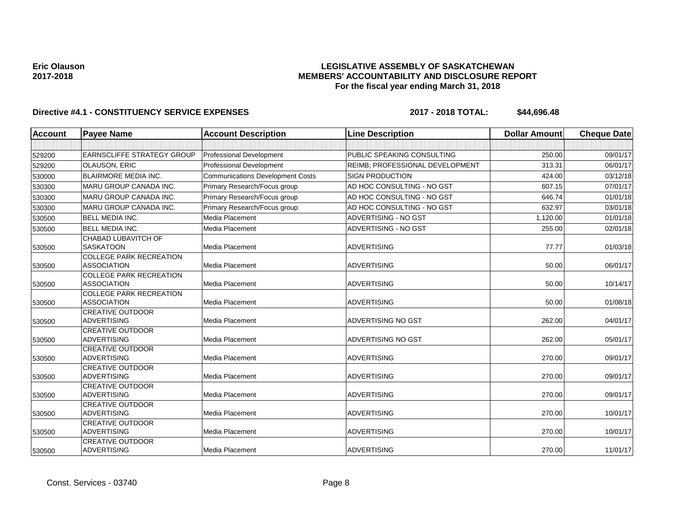# **LEGISLATIVE ASSEMBLY OF SASKATCHEWAN MEMBERS' ACCOUNTABILITY AND DISCLOSURE REPORT For the fiscal year ending March 31, 2018**

| <b>Account</b> | <b>Payee Name</b>                                    | <b>Account Description</b>              | <b>Line Description</b>         | <b>Dollar Amount</b> | <b>Cheque Date</b> |
|----------------|------------------------------------------------------|-----------------------------------------|---------------------------------|----------------------|--------------------|
|                |                                                      |                                         |                                 |                      |                    |
| 529200         | <b>EARNSCLIFFE STRATEGY GROUP</b>                    | Professional Development                | PUBLIC SPEAKING CONSULTING      | 250.00               | 09/01/17           |
| 529200         | <b>OLAUSON, ERIC</b>                                 | <b>Professional Development</b>         | REIMB; PROFESSIONAL DEVELOPMENT | 313.31               | 06/01/17           |
| 530000         | <b>BLAIRMORE MEDIA INC.</b>                          | <b>Communications Development Costs</b> | <b>SIGN PRODUCTION</b>          | 424.00               | 03/12/18           |
| 530300         | <b>MARU GROUP CANADA INC.</b>                        | Primary Research/Focus group            | AD HOC CONSULTING - NO GST      | 607.15               | 07/01/17           |
| 530300         | <b>MARU GROUP CANADA INC.</b>                        | Primary Research/Focus group            | AD HOC CONSULTING - NO GST      | 646.74               | 01/01/18           |
| 530300         | <b>MARU GROUP CANADA INC.</b>                        | Primary Research/Focus group            | AD HOC CONSULTING - NO GST      | 632.97               | 03/01/18           |
| 530500         | <b>BELL MEDIA INC.</b>                               | Media Placement                         | ADVERTISING - NO GST            | 1,120.00             | 01/01/18           |
| 530500         | <b>BELL MEDIA INC.</b>                               | Media Placement                         | ADVERTISING - NO GST            | 255.00               | 02/01/18           |
| 530500         | CHABAD LUBAVITCH OF<br><b>SASKATOON</b>              | Media Placement                         | <b>ADVERTISING</b>              | 77.77                | 01/03/18           |
| 530500         | <b>COLLEGE PARK RECREATION</b><br><b>ASSOCIATION</b> | Media Placement                         | <b>ADVERTISING</b>              | 50.00                | 06/01/17           |
| 530500         | <b>COLLEGE PARK RECREATION</b><br><b>ASSOCIATION</b> | Media Placement                         | <b>ADVERTISING</b>              | 50.00                | 10/14/17           |
| 530500         | <b>COLLEGE PARK RECREATION</b><br><b>ASSOCIATION</b> | Media Placement                         | <b>ADVERTISING</b>              | 50.00                | 01/08/18           |
| 530500         | <b>CREATIVE OUTDOOR</b><br><b>ADVERTISING</b>        | Media Placement                         | ADVERTISING NO GST              | 262.00               | 04/01/17           |
| 530500         | <b>CREATIVE OUTDOOR</b><br><b>ADVERTISING</b>        | Media Placement                         | ADVERTISING NO GST              | 262.00               | 05/01/17           |
| 530500         | <b>CREATIVE OUTDOOR</b><br><b>ADVERTISING</b>        | Media Placement                         | <b>ADVERTISING</b>              | 270.00               | 09/01/17           |
| 530500         | <b>CREATIVE OUTDOOR</b><br><b>ADVERTISING</b>        | Media Placement                         | <b>ADVERTISING</b>              | 270.00               | 09/01/17           |
| 530500         | <b>CREATIVE OUTDOOR</b><br><b>ADVERTISING</b>        | <b>Media Placement</b>                  | <b>ADVERTISING</b>              | 270.00               | 09/01/17           |
| 530500         | <b>CREATIVE OUTDOOR</b><br><b>ADVERTISING</b>        | Media Placement                         | <b>ADVERTISING</b>              | 270.00               | 10/01/17           |
| 530500         | <b>CREATIVE OUTDOOR</b><br><b>ADVERTISING</b>        | <b>Media Placement</b>                  | <b>ADVERTISING</b>              | 270.00               | 10/01/17           |
| 530500         | <b>CREATIVE OUTDOOR</b><br><b>ADVERTISING</b>        | Media Placement                         | <b>ADVERTISING</b>              | 270.00               | 11/01/17           |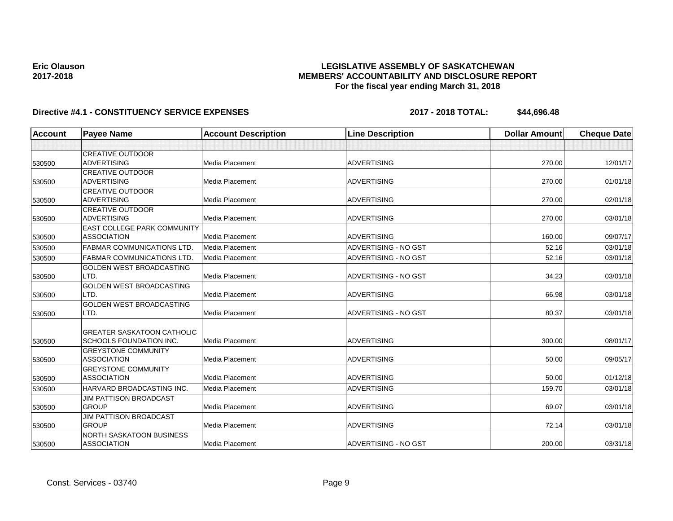# **LEGISLATIVE ASSEMBLY OF SASKATCHEWAN MEMBERS' ACCOUNTABILITY AND DISCLOSURE REPORT For the fiscal year ending March 31, 2018**

| <b>Account</b> | <b>Payee Name</b>                  | <b>Account Description</b> | <b>Line Description</b> | <b>Dollar Amount</b> | <b>Cheque Date</b> |
|----------------|------------------------------------|----------------------------|-------------------------|----------------------|--------------------|
|                |                                    |                            |                         |                      |                    |
|                | <b>CREATIVE OUTDOOR</b>            |                            |                         |                      |                    |
| 530500         | <b>ADVERTISING</b>                 | Media Placement            | <b>ADVERTISING</b>      | 270.00               | 12/01/17           |
|                | <b>CREATIVE OUTDOOR</b>            |                            |                         |                      |                    |
| 530500         | <b>ADVERTISING</b>                 | <b>Media Placement</b>     | <b>ADVERTISING</b>      | 270.00               | 01/01/18           |
|                | <b>CREATIVE OUTDOOR</b>            |                            |                         |                      |                    |
| 530500         | <b>ADVERTISING</b>                 | <b>Media Placement</b>     | <b>ADVERTISING</b>      | 270.00               | 02/01/18           |
|                | <b>CREATIVE OUTDOOR</b>            |                            |                         |                      |                    |
| 530500         | <b>ADVERTISING</b>                 | Media Placement            | <b>ADVERTISING</b>      | 270.00               | 03/01/18           |
|                | <b>EAST COLLEGE PARK COMMUNITY</b> |                            |                         |                      |                    |
| 530500         | <b>ASSOCIATION</b>                 | Media Placement            | <b>ADVERTISING</b>      | 160.00               | 09/07/17           |
| 530500         | <b>FABMAR COMMUNICATIONS LTD</b>   | Media Placement            | ADVERTISING - NO GST    | 52.16                | 03/01/18           |
| 530500         | <b>FABMAR COMMUNICATIONS LTD.</b>  | Media Placement            | ADVERTISING - NO GST    | 52.16                | 03/01/18           |
|                | GOLDEN WEST BROADCASTING           |                            |                         |                      |                    |
| 530500         | LTD.                               | Media Placement            | ADVERTISING - NO GST    | 34.23                | 03/01/18           |
|                | <b>GOLDEN WEST BROADCASTING</b>    |                            |                         |                      |                    |
| 530500         | LTD.                               | <b>Media Placement</b>     | <b>ADVERTISING</b>      | 66.98                | 03/01/18           |
|                | <b>GOLDEN WEST BROADCASTING</b>    |                            |                         |                      |                    |
| 530500         | LTD.                               | <b>Media Placement</b>     | ADVERTISING - NO GST    | 80.37                | 03/01/18           |
|                |                                    |                            |                         |                      |                    |
|                | <b>GREATER SASKATOON CATHOLIC</b>  |                            |                         |                      |                    |
| 530500         | <b>SCHOOLS FOUNDATION INC.</b>     | Media Placement            | <b>ADVERTISING</b>      | 300.00               | 08/01/17           |
|                | <b>GREYSTONE COMMUNITY</b>         |                            |                         |                      |                    |
| 530500         | <b>ASSOCIATION</b>                 | Media Placement            | <b>ADVERTISING</b>      | 50.00                | 09/05/17           |
|                | <b>GREYSTONE COMMUNITY</b>         |                            |                         |                      |                    |
| 530500         | <b>ASSOCIATION</b>                 | Media Placement            | <b>ADVERTISING</b>      | 50.00                | 01/12/18           |
| 530500         | HARVARD BROADCASTING INC.          | Media Placement            | <b>ADVERTISING</b>      | 159.70               | 03/01/18           |
|                | <b>JIM PATTISON BROADCAST</b>      |                            |                         |                      |                    |
| 530500         | <b>GROUP</b>                       | Media Placement            | <b>ADVERTISING</b>      | 69.07                | 03/01/18           |
|                | <b>JIM PATTISON BROADCAST</b>      |                            |                         |                      |                    |
| 530500         | <b>GROUP</b>                       | Media Placement            | <b>ADVERTISING</b>      | 72.14                | 03/01/18           |
|                | NORTH SASKATOON BUSINESS           |                            |                         |                      |                    |
| 530500         | <b>ASSOCIATION</b>                 | Media Placement            | ADVERTISING - NO GST    | 200.00               | 03/31/18           |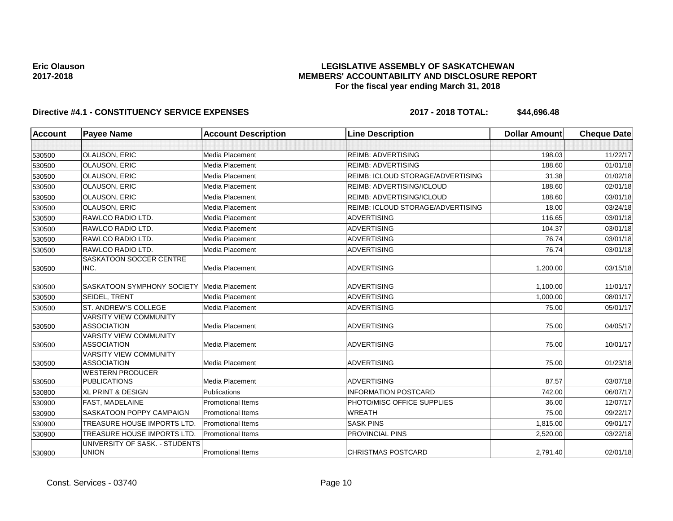# **LEGISLATIVE ASSEMBLY OF SASKATCHEWAN MEMBERS' ACCOUNTABILITY AND DISCLOSURE REPORT For the fiscal year ending March 31, 2018**

| <b>Account</b> | <b>Payee Name</b>                                   | <b>Account Description</b> | <b>Line Description</b>                  | <b>Dollar Amount</b> | <b>Cheque Date</b> |
|----------------|-----------------------------------------------------|----------------------------|------------------------------------------|----------------------|--------------------|
|                |                                                     |                            |                                          |                      |                    |
| 530500         | <b>OLAUSON, ERIC</b>                                | Media Placement            | <b>REIMB: ADVERTISING</b>                | 198.03               | 11/22/17           |
| 530500         | <b>OLAUSON, ERIC</b>                                | Media Placement            | <b>REIMB: ADVERTISING</b>                | 188.60               | 01/01/18           |
| 530500         | OLAUSON, ERIC                                       | Media Placement            | <b>REIMB: ICLOUD STORAGE/ADVERTISING</b> | 31.38                | 01/02/18           |
| 530500         | <b>OLAUSON, ERIC</b>                                | Media Placement            | <b>REIMB: ADVERTISING/ICLOUD</b>         | 188.60               | 02/01/18           |
| 530500         | <b>OLAUSON, ERIC</b>                                | Media Placement            | REIMB: ADVERTISING/ICLOUD                | 188.60               | 03/01/18           |
| 530500         | OLAUSON, ERIC                                       | Media Placement            | <b>REIMB: ICLOUD STORAGE/ADVERTISING</b> | 18.00                | 03/24/18           |
| 530500         | RAWLCO RADIO LTD.                                   | <b>Media Placement</b>     | <b>ADVERTISING</b>                       | 116.65               | 03/01/18           |
| 530500         | <b>RAWLCO RADIO LTD.</b>                            | Media Placement            | <b>ADVERTISING</b>                       | 104.37               | 03/01/18           |
| 530500         | <b>RAWLCO RADIO LTD.</b>                            | Media Placement            | <b>ADVERTISING</b>                       | 76.74                | 03/01/18           |
| 530500         | RAWLCO RADIO LTD.                                   | Media Placement            | <b>ADVERTISING</b>                       | 76.74                | 03/01/18           |
| 530500         | SASKATOON SOCCER CENTRE<br>INC.                     | <b>Media Placement</b>     | <b>ADVERTISING</b>                       | 1,200.00             | 03/15/18           |
| 530500         | <b>SASKATOON SYMPHONY SOCIETY</b>                   | Media Placement            | <b>ADVERTISING</b>                       | 1,100.00             | 11/01/17           |
| 530500         | SEIDEL, TRENT                                       | Media Placement            | <b>ADVERTISING</b>                       | 1,000.00             | 08/01/17           |
| 530500         | ST. ANDREW'S COLLEGE                                | Media Placement            | <b>ADVERTISING</b>                       | 75.00                | 05/01/17           |
| 530500         | <b>VARSITY VIEW COMMUNITY</b><br><b>ASSOCIATION</b> | Media Placement            | <b>ADVERTISING</b>                       | 75.00                | 04/05/17           |
| 530500         | <b>VARSITY VIEW COMMUNITY</b><br><b>ASSOCIATION</b> | <b>Media Placement</b>     | <b>ADVERTISING</b>                       | 75.00                | 10/01/17           |
| 530500         | <b>VARSITY VIEW COMMUNITY</b><br><b>ASSOCIATION</b> | Media Placement            | ADVERTISING                              | 75.00                | 01/23/18           |
| 530500         | <b>WESTERN PRODUCER</b><br><b>PUBLICATIONS</b>      | <b>Media Placement</b>     | <b>ADVERTISING</b>                       | 87.57                | 03/07/18           |
| 530800         | <b>XL PRINT &amp; DESIGN</b>                        | Publications               | <b>INFORMATION POSTCARD</b>              | 742.00               | 06/07/17           |
| 530900         | <b>FAST, MADELAINE</b>                              | <b>Promotional Items</b>   | PHOTO/MISC OFFICE SUPPLIES               | 36.00                | 12/07/17           |
| 530900         | SASKATOON POPPY CAMPAIGN                            | <b>Promotional Items</b>   | <b>WREATH</b>                            | 75.00                | 09/22/17           |
| 530900         | <b>TREASURE HOUSE IMPORTS LTD</b>                   | <b>Promotional Items</b>   | <b>SASK PINS</b>                         | 1,815.00             | 09/01/17           |
| 530900         | TREASURE HOUSE IMPORTS LTD.                         | <b>Promotional Items</b>   | PROVINCIAL PINS                          | 2,520.00             | 03/22/18           |
| 530900         | UNIVERSITY OF SASK. - STUDENTS<br><b>UNION</b>      | <b>Promotional Items</b>   | <b>CHRISTMAS POSTCARD</b>                | 2,791.40             | 02/01/18           |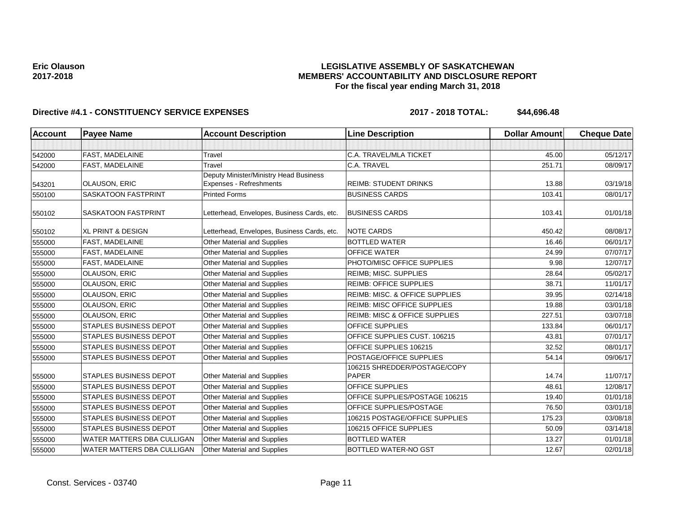# **LEGISLATIVE ASSEMBLY OF SASKATCHEWAN MEMBERS' ACCOUNTABILITY AND DISCLOSURE REPORT For the fiscal year ending March 31, 2018**

| Account | <b>Payee Name</b>             | <b>Account Description</b>                  | <b>Line Description</b>                  | <b>Dollar Amount</b> | <b>Cheque Date</b> |
|---------|-------------------------------|---------------------------------------------|------------------------------------------|----------------------|--------------------|
|         |                               |                                             |                                          |                      |                    |
| 542000  | FAST, MADELAINE               | Travel                                      | C.A. TRAVEL/MLA TICKET                   | 45.00                | 05/12/17           |
| 542000  | FAST, MADELAINE               | Travel                                      | C.A. TRAVEL                              | 251.71               | 08/09/17           |
|         |                               | Deputy Minister/Ministry Head Business      |                                          |                      |                    |
| 543201  | <b>OLAUSON, ERIC</b>          | Expenses - Refreshments                     | <b>REIMB: STUDENT DRINKS</b>             | 13.88                | 03/19/18           |
| 550100  | <b>SASKATOON FASTPRINT</b>    | <b>Printed Forms</b>                        | <b>BUSINESS CARDS</b>                    | 103.41               | 08/01/17           |
| 550102  | <b>SASKATOON FASTPRINT</b>    | Letterhead, Envelopes, Business Cards, etc. | <b>BUSINESS CARDS</b>                    | 103.41               | 01/01/18           |
| 550102  | <b>XL PRINT &amp; DESIGN</b>  | Letterhead, Envelopes, Business Cards, etc. | <b>NOTE CARDS</b>                        | 450.42               | 08/08/17           |
| 555000  | <b>FAST, MADELAINE</b>        | Other Material and Supplies                 | <b>BOTTLED WATER</b>                     | 16.46                | 06/01/17           |
| 555000  | <b>FAST, MADELAINE</b>        | Other Material and Supplies                 | <b>OFFICE WATER</b>                      | 24.99                | 07/07/17           |
| 555000  | FAST, MADELAINE               | Other Material and Supplies                 | PHOTO/MISC OFFICE SUPPLIES               | 9.98                 | 12/07/17           |
| 555000  | OLAUSON, ERIC                 | Other Material and Supplies                 | REIMB; MISC. SUPPLIES                    | 28.64                | 05/02/17           |
| 555000  | OLAUSON, ERIC                 | Other Material and Supplies                 | <b>REIMB: OFFICE SUPPLIES</b>            | 38.71                | 11/01/17           |
| 555000  | <b>OLAUSON, ERIC</b>          | Other Material and Supplies                 | REIMB: MISC. & OFFICE SUPPLIES           | 39.95                | 02/14/18           |
| 555000  | <b>OLAUSON, ERIC</b>          | <b>Other Material and Supplies</b>          | <b>REIMB: MISC OFFICE SUPPLIES</b>       | 19.88                | 03/01/18           |
| 555000  | OLAUSON, ERIC                 | <b>Other Material and Supplies</b>          | <b>REIMB: MISC &amp; OFFICE SUPPLIES</b> | 227.51               | 03/07/18           |
| 555000  | <b>STAPLES BUSINESS DEPOT</b> | Other Material and Supplies                 | <b>OFFICE SUPPLIES</b>                   | 133.84               | 06/01/17           |
| 555000  | <b>STAPLES BUSINESS DEPOT</b> | Other Material and Supplies                 | OFFICE SUPPLIES CUST. 106215             | 43.81                | 07/01/17           |
| 555000  | <b>STAPLES BUSINESS DEPOT</b> | Other Material and Supplies                 | OFFICE SUPPLIES 106215                   | 32.52                | 08/01/17           |
| 555000  | <b>STAPLES BUSINESS DEPOT</b> | Other Material and Supplies                 | POSTAGE/OFFICE SUPPLIES                  | 54.14                | 09/06/17           |
|         |                               |                                             | 106215 SHREDDER/POSTAGE/COPY             |                      |                    |
| 555000  | <b>STAPLES BUSINESS DEPOT</b> | Other Material and Supplies                 | <b>PAPER</b>                             | 14.74                | 11/07/17           |
| 555000  | <b>STAPLES BUSINESS DEPOT</b> | Other Material and Supplies                 | <b>OFFICE SUPPLIES</b>                   | 48.61                | 12/08/17           |
| 555000  | <b>STAPLES BUSINESS DEPOT</b> | Other Material and Supplies                 | OFFICE SUPPLIES/POSTAGE 106215           | 19.40                | 01/01/18           |
| 555000  | <b>STAPLES BUSINESS DEPOT</b> | Other Material and Supplies                 | OFFICE SUPPLIES/POSTAGE                  | 76.50                | 03/01/18           |
| 555000  | <b>STAPLES BUSINESS DEPOT</b> | Other Material and Supplies                 | 106215 POSTAGE/OFFICE SUPPLIES           | 175.23               | 03/08/18           |
| 555000  | <b>STAPLES BUSINESS DEPOT</b> | Other Material and Supplies                 | 106215 OFFICE SUPPLIES                   | 50.09                | 03/14/18           |
| 555000  | WATER MATTERS DBA CULLIGAN    | Other Material and Supplies                 | <b>BOTTLED WATER</b>                     | 13.27                | 01/01/18           |
| 555000  | WATER MATTERS DBA CULLIGAN    | Other Material and Supplies                 | <b>BOTTLED WATER-NO GST</b>              | 12.67                | 02/01/18           |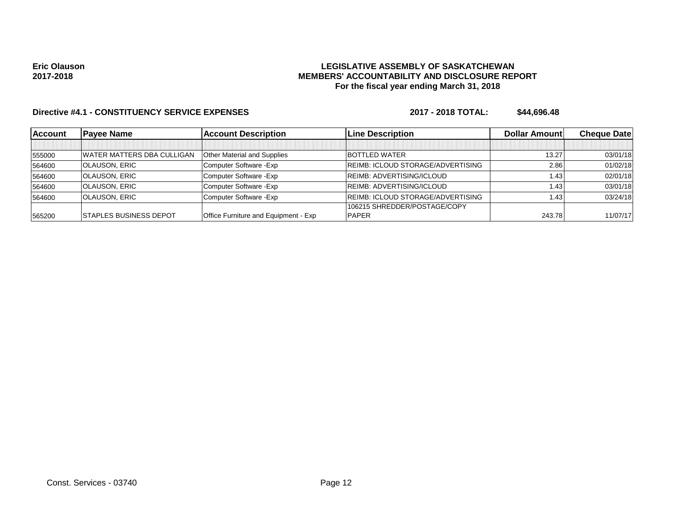# **LEGISLATIVE ASSEMBLY OF SASKATCHEWAN MEMBERS' ACCOUNTABILITY AND DISCLOSURE REPORT For the fiscal year ending March 31, 2018**

| <b>Account</b> | <b>Pavee Name</b>                  | <b>Account Description</b>                  | <b>Line Description</b>                  | Dollar Amount | <b>Cheque Datel</b> |
|----------------|------------------------------------|---------------------------------------------|------------------------------------------|---------------|---------------------|
|                |                                    |                                             |                                          |               |                     |
| 555000         | <b>IWATER MATTERS DBA CULLIGAN</b> | <b>Other Material and Supplies</b>          | <b>BOTTLED WATER</b>                     | 13.27         | 03/01/18            |
| 564600         | <b>OLAUSON, ERIC</b>               | Computer Software - Exp                     | <b>REIMB: ICLOUD STORAGE/ADVERTISING</b> | 2.86          | 01/02/18            |
| 564600         | <b>OLAUSON, ERIC</b>               | Computer Software - Exp                     | <b>REIMB: ADVERTISING/ICLOUD</b>         | 1.43          | 02/01/18            |
| 564600         | <b>OLAUSON, ERIC</b>               | Computer Software - Exp                     | REIMB: ADVERTISING/ICLOUD                | 1.43          | 03/01/18            |
| 564600         | <b>OLAUSON, ERIC</b>               | Computer Software - Exp                     | <b>REIMB: ICLOUD STORAGE/ADVERTISING</b> | 1.43          | 03/24/18            |
|                |                                    |                                             | 106215 SHREDDER/POSTAGE/COPY             |               |                     |
| 565200         | <b>ISTAPLES BUSINESS DEPOT</b>     | <b>Office Furniture and Equipment - Exp</b> | <b>PAPER</b>                             | 243.78        | 11/07/17            |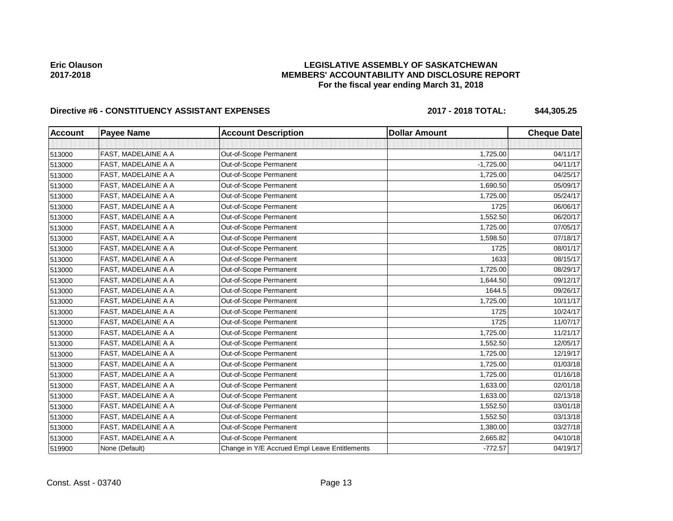# **LEGISLATIVE ASSEMBLY OF SASKATCHEWAN MEMBERS' ACCOUNTABILITY AND DISCLOSURE REPORT For the fiscal year ending March 31, 2018**

# Directive #6 - CONSTITUENCY ASSISTANT EXPENSES 2017 - 2018 TOTAL: \$44,305.25

| <b>Account</b> | Payee Name          | <b>Account Description</b>                    | <b>Dollar Amount</b> | <b>Cheque Date</b> |
|----------------|---------------------|-----------------------------------------------|----------------------|--------------------|
|                |                     |                                               |                      |                    |
| 513000         | FAST, MADELAINE A A | Out-of-Scope Permanent                        | 1,725.00             | 04/11/17           |
| 513000         | FAST, MADELAINE A A | Out-of-Scope Permanent                        | $-1,725.00$          | 04/11/17           |
| 513000         | FAST, MADELAINE A A | Out-of-Scope Permanent                        | 1,725.00             | 04/25/17           |
| 513000         | FAST, MADELAINE A A | Out-of-Scope Permanent                        | 1,690.50             | 05/09/17           |
| 513000         | FAST, MADELAINE A A | Out-of-Scope Permanent                        | 1,725.00             | 05/24/17           |
| 513000         | FAST, MADELAINE A A | Out-of-Scope Permanent                        | 1725                 | 06/06/17           |
| 513000         | FAST, MADELAINE A A | Out-of-Scope Permanent                        | 1,552.50             | 06/20/17           |
| 513000         | FAST, MADELAINE A A | Out-of-Scope Permanent                        | 1,725.00             | 07/05/17           |
| 513000         | FAST, MADELAINE A A | Out-of-Scope Permanent                        | 1,598.50             | 07/18/17           |
| 513000         | FAST, MADELAINE A A | Out-of-Scope Permanent                        | 1725                 | 08/01/17           |
| 513000         | FAST, MADELAINE A A | Out-of-Scope Permanent                        | 1633                 | 08/15/17           |
| 513000         | FAST, MADELAINE A A | Out-of-Scope Permanent                        | 1,725.00             | 08/29/17           |
| 513000         | FAST, MADELAINE A A | Out-of-Scope Permanent                        | 1,644.50             | 09/12/17           |
| 513000         | FAST, MADELAINE A A | Out-of-Scope Permanent                        | 1644.5               | 09/26/17           |
| 513000         | FAST, MADELAINE A A | Out-of-Scope Permanent                        | 1,725.00             | 10/11/17           |
| 513000         | FAST, MADELAINE A A | Out-of-Scope Permanent                        | 1725                 | 10/24/17           |
| 513000         | FAST, MADELAINE A A | Out-of-Scope Permanent                        | 1725                 | 11/07/17           |
| 513000         | FAST, MADELAINE A A | Out-of-Scope Permanent                        | 1,725.00             | 11/21/17           |
| 513000         | FAST, MADELAINE A A | Out-of-Scope Permanent                        | 1,552.50             | 12/05/17           |
| 513000         | FAST, MADELAINE A A | Out-of-Scope Permanent                        | 1,725.00             | 12/19/17           |
| 513000         | FAST, MADELAINE A A | Out-of-Scope Permanent                        | 1,725.00             | 01/03/18           |
| 513000         | FAST, MADELAINE A A | Out-of-Scope Permanent                        | 1,725.00             | 01/16/18           |
| 513000         | FAST, MADELAINE A A | Out-of-Scope Permanent                        | 1,633.00             | 02/01/18           |
| 513000         | FAST, MADELAINE A A | Out-of-Scope Permanent                        | 1,633.00             | 02/13/18           |
| 513000         | FAST, MADELAINE A A | Out-of-Scope Permanent                        | 1,552.50             | 03/01/18           |
| 513000         | FAST, MADELAINE A A | Out-of-Scope Permanent                        | 1,552.50             | 03/13/18           |
| 513000         | FAST, MADELAINE A A | Out-of-Scope Permanent                        | 1,380.00             | 03/27/18           |
| 513000         | FAST, MADELAINE A A | Out-of-Scope Permanent                        | 2,665.82             | 04/10/18           |
| 519900         | None (Default)      | Change in Y/E Accrued Empl Leave Entitlements | $-772.57$            | 04/19/17           |